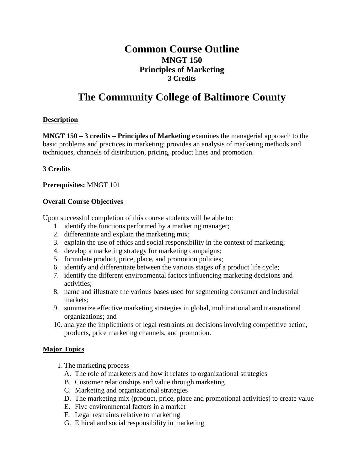# **Common Course Outline MNGT 150 Principles of Marketing 3 Credits**

# **The Community College of Baltimore County**

# **Description**

**MNGT 150 – 3 credits – Principles of Marketing** examines the managerial approach to the basic problems and practices in marketing; provides an analysis of marketing methods and techniques, channels of distribution, pricing, product lines and promotion.

# **3 Credits**

**Prerequisites:** MNGT 101

# **Overall Course Objectives**

Upon successful completion of this course students will be able to:

- 1. identify the functions performed by a marketing manager;
- 2. differentiate and explain the marketing mix;
- 3. explain the use of ethics and social responsibility in the context of marketing;
- 4. develop a marketing strategy for marketing campaigns;
- 5. formulate product, price, place, and promotion policies;
- 6. identify and differentiate between the various stages of a product life cycle;
- 7. identify the different environmental factors influencing marketing decisions and activities;
- 8. name and illustrate the various bases used for segmenting consumer and industrial markets;
- 9. summarize effective marketing strategies in global, multinational and transnational organizations; and
- 10. analyze the implications of legal restraints on decisions involving competitive action, products, price marketing channels, and promotion.

# **Major Topics**

- I. The marketing process
	- A. The role of marketers and how it relates to organizational strategies
	- B. Customer relationships and value through marketing
	- C. Marketing and organizational strategies
	- D. The marketing mix (product, price, place and promotional activities) to create value
	- E. Five environmental factors in a market
	- F. Legal restraints relative to marketing
	- G. Ethical and social responsibility in marketing